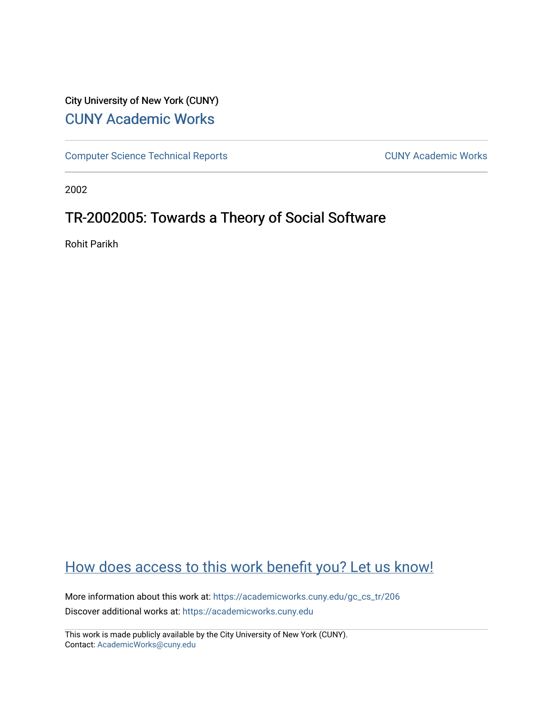## City University of New York (CUNY) [CUNY Academic Works](https://academicworks.cuny.edu/)

[Computer Science Technical Reports](https://academicworks.cuny.edu/gc_cs_tr) **CUNY Academic Works** CUNY Academic Works

2002

# TR-2002005: Towards a Theory of Social Software

Rohit Parikh

# [How does access to this work benefit you? Let us know!](http://ols.cuny.edu/academicworks/?ref=https://academicworks.cuny.edu/gc_cs_tr/206)

More information about this work at: [https://academicworks.cuny.edu/gc\\_cs\\_tr/206](https://academicworks.cuny.edu/gc_cs_tr/206)  Discover additional works at: [https://academicworks.cuny.edu](https://academicworks.cuny.edu/?)

This work is made publicly available by the City University of New York (CUNY). Contact: [AcademicWorks@cuny.edu](mailto:AcademicWorks@cuny.edu)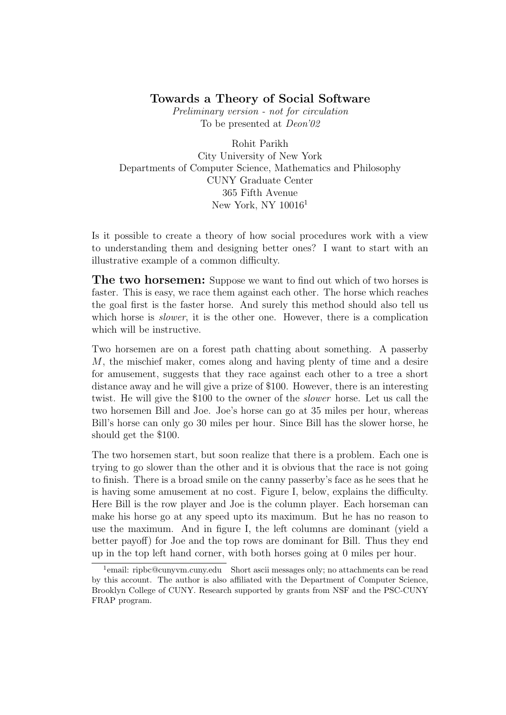### Towards a Theory of Social Software

Preliminary version - not for circulation To be presented at Deon'02

Rohit Parikh City University of New York Departments of Computer Science, Mathematics and Philosophy CUNY Graduate Center 365 Fifth Avenue New York, NY 10016<sup>1</sup>

Is it possible to create a theory of how social procedures work with a view to understanding them and designing better ones? I want to start with an illustrative example of a common difficulty.

**The two horsemen:** Suppose we want to find out which of two horses is faster. This is easy, we race them against each other. The horse which reaches the goal first is the faster horse. And surely this method should also tell us which horse is *slower*, it is the other one. However, there is a complication which will be instructive.

Two horsemen are on a forest path chatting about something. A passerby M, the mischief maker, comes along and having plenty of time and a desire for amusement, suggests that they race against each other to a tree a short distance away and he will give a prize of \$100. However, there is an interesting twist. He will give the \$100 to the owner of the slower horse. Let us call the two horsemen Bill and Joe. Joe's horse can go at 35 miles per hour, whereas Bill's horse can only go 30 miles per hour. Since Bill has the slower horse, he should get the \$100.

The two horsemen start, but soon realize that there is a problem. Each one is trying to go slower than the other and it is obvious that the race is not going to finish. There is a broad smile on the canny passerby's face as he sees that he is having some amusement at no cost. Figure I, below, explains the difficulty. Here Bill is the row player and Joe is the column player. Each horseman can make his horse go at any speed upto its maximum. But he has no reason to use the maximum. And in figure I, the left columns are dominant (yield a better payoff) for Joe and the top rows are dominant for Bill. Thus they end up in the top left hand corner, with both horses going at 0 miles per hour.

<sup>&</sup>lt;sup>1</sup>email: ripbc@cunyvm.cuny.edu Short ascii messages only; no attachments can be read by this account. The author is also affiliated with the Department of Computer Science, Brooklyn College of CUNY. Research supported by grants from NSF and the PSC-CUNY FRAP program.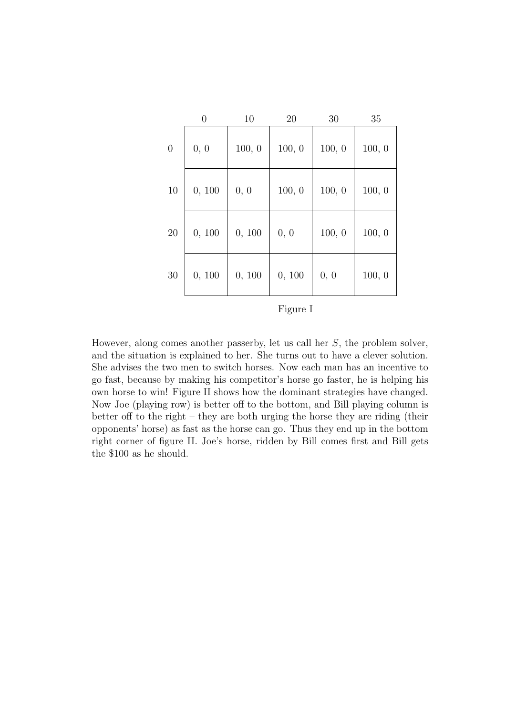|                | 0      | 10     | 20     | 30     | 35     |
|----------------|--------|--------|--------|--------|--------|
| $\overline{0}$ | 0, 0   | 100, 0 | 100, 0 | 100, 0 | 100, 0 |
| 10             | 0, 100 | 0, 0   | 100, 0 | 100, 0 | 100, 0 |
| 20             | 0, 100 | 0, 100 | 0, 0   | 100, 0 | 100, 0 |
| 30             | 0, 100 | 0, 100 | 0, 100 | 0, 0   | 100, 0 |

Figure I

However, along comes another passerby, let us call her S, the problem solver, and the situation is explained to her. She turns out to have a clever solution. She advises the two men to switch horses. Now each man has an incentive to go fast, because by making his competitor's horse go faster, he is helping his own horse to win! Figure II shows how the dominant strategies have changed. Now Joe (playing row) is better off to the bottom, and Bill playing column is better off to the right – they are both urging the horse they are riding (their opponents' horse) as fast as the horse can go. Thus they end up in the bottom right corner of figure II. Joe's horse, ridden by Bill comes first and Bill gets the \$100 as he should.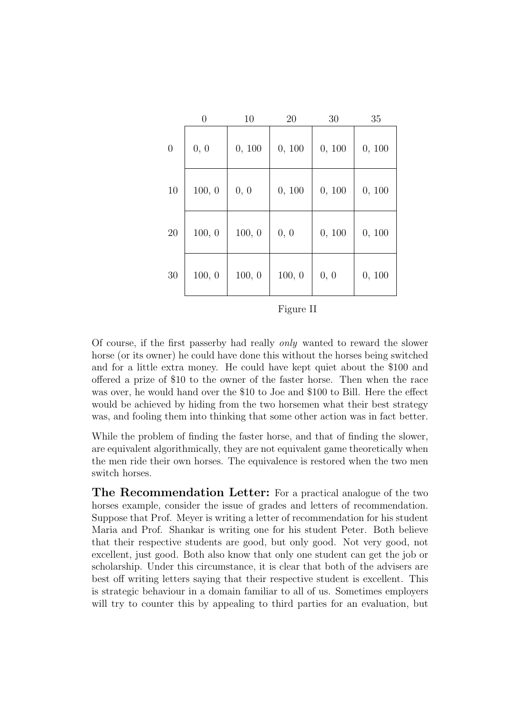|          | $\overline{0}$ | 10     | 20     | 30     | 35     |
|----------|----------------|--------|--------|--------|--------|
| $\theta$ | 0, 0           | 0, 100 | 0, 100 | 0, 100 | 0, 100 |
| 10       | 100, 0         | 0, 0   | 0, 100 | 0, 100 | 0, 100 |
| 20       | 100, 0         | 100, 0 | 0, 0   | 0, 100 | 0, 100 |
| 30       | 100, 0         | 100, 0 | 100, 0 | 0, 0   | 0, 100 |

Figure II

Of course, if the first passerby had really only wanted to reward the slower horse (or its owner) he could have done this without the horses being switched and for a little extra money. He could have kept quiet about the \$100 and offered a prize of \$10 to the owner of the faster horse. Then when the race was over, he would hand over the \$10 to Joe and \$100 to Bill. Here the effect would be achieved by hiding from the two horsemen what their best strategy was, and fooling them into thinking that some other action was in fact better.

While the problem of finding the faster horse, and that of finding the slower, are equivalent algorithmically, they are not equivalent game theoretically when the men ride their own horses. The equivalence is restored when the two men switch horses.

The Recommendation Letter: For a practical analogue of the two horses example, consider the issue of grades and letters of recommendation. Suppose that Prof. Meyer is writing a letter of recommendation for his student Maria and Prof. Shankar is writing one for his student Peter. Both believe that their respective students are good, but only good. Not very good, not excellent, just good. Both also know that only one student can get the job or scholarship. Under this circumstance, it is clear that both of the advisers are best off writing letters saying that their respective student is excellent. This is strategic behaviour in a domain familiar to all of us. Sometimes employers will try to counter this by appealing to third parties for an evaluation, but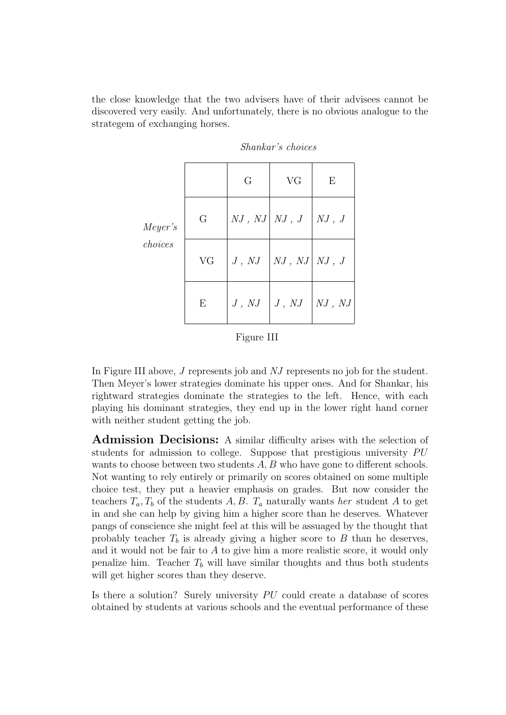the close knowledge that the two advisers have of their advisees cannot be discovered very easily. And unfortunately, there is no obvious analogue to the strategem of exchanging horses.

|         |         | G                  | <b>VG</b>                        | E           |
|---------|---------|--------------------|----------------------------------|-------------|
| Meyer's | $G_{-}$ |                    | NJ, NJ NJ, J NJ, J               |             |
| choices | VG      |                    | $J, NJ \vert NJ, NJ \vert NJ, J$ |             |
|         | Е       | $J, NJ \mid J, NJ$ |                                  | $NJ$ , $NJ$ |

Shankar's choices

| 911 r |  |
|-------|--|
|       |  |

In Figure III above, J represents job and NJ represents no job for the student. Then Meyer's lower strategies dominate his upper ones. And for Shankar, his rightward strategies dominate the strategies to the left. Hence, with each playing his dominant strategies, they end up in the lower right hand corner with neither student getting the job.

Admission Decisions: A similar difficulty arises with the selection of students for admission to college. Suppose that prestigious university PU wants to choose between two students A, B who have gone to different schools. Not wanting to rely entirely or primarily on scores obtained on some multiple choice test, they put a heavier emphasis on grades. But now consider the teachers  $T_a, T_b$  of the students A, B.  $T_a$  naturally wants her student A to get in and she can help by giving him a higher score than he deserves. Whatever pangs of conscience she might feel at this will be assuaged by the thought that probably teacher  $T_b$  is already giving a higher score to  $B$  than he deserves, and it would not be fair to A to give him a more realistic score, it would only penalize him. Teacher  $T_b$  will have similar thoughts and thus both students will get higher scores than they deserve.

Is there a solution? Surely university  $PU$  could create a database of scores obtained by students at various schools and the eventual performance of these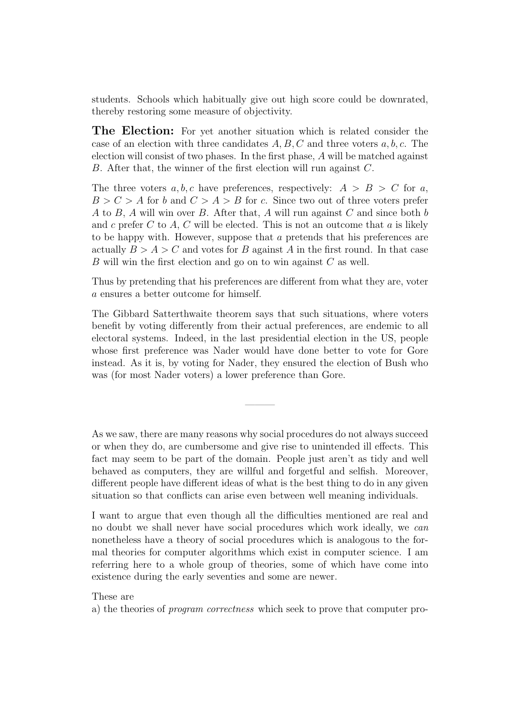students. Schools which habitually give out high score could be downrated, thereby restoring some measure of objectivity.

**The Election:** For yet another situation which is related consider the case of an election with three candidates  $A, B, C$  and three voters  $a, b, c$ . The election will consist of two phases. In the first phase, A will be matched against  $B$ . After that, the winner of the first election will run against  $C$ .

The three voters  $a, b, c$  have preferences, respectively:  $A > B > C$  for a,  $B > C > A$  for b and  $C > A > B$  for c. Since two out of three voters prefer A to B, A will win over B. After that, A will run against C and since both b and c prefer C to A, C will be elected. This is not an outcome that a is likely to be happy with. However, suppose that a pretends that his preferences are actually  $B > A > C$  and votes for B against A in the first round. In that case B will win the first election and go on to win against C as well.

Thus by pretending that his preferences are different from what they are, voter a ensures a better outcome for himself.

The Gibbard Satterthwaite theorem says that such situations, where voters benefit by voting differently from their actual preferences, are endemic to all electoral systems. Indeed, in the last presidential election in the US, people whose first preference was Nader would have done better to vote for Gore instead. As it is, by voting for Nader, they ensured the election of Bush who was (for most Nader voters) a lower preference than Gore.

———

As we saw, there are many reasons why social procedures do not always succeed or when they do, are cumbersome and give rise to unintended ill effects. This fact may seem to be part of the domain. People just aren't as tidy and well behaved as computers, they are willful and forgetful and selfish. Moreover, different people have different ideas of what is the best thing to do in any given situation so that conflicts can arise even between well meaning individuals.

I want to argue that even though all the difficulties mentioned are real and no doubt we shall never have social procedures which work ideally, we can nonetheless have a theory of social procedures which is analogous to the formal theories for computer algorithms which exist in computer science. I am referring here to a whole group of theories, some of which have come into existence during the early seventies and some are newer.

These are

a) the theories of program correctness which seek to prove that computer pro-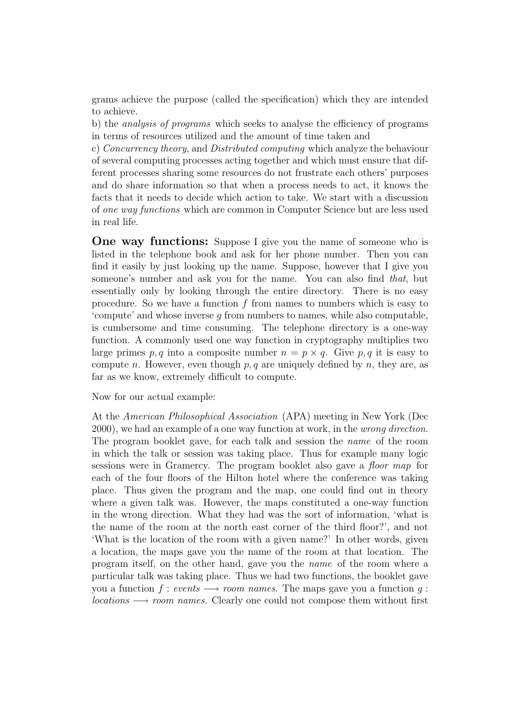grams achieve the purpose (called the specification) which they are intended to achieve.

b) the analysis of programs which seeks to analyse the efficiency of programs in terms of resources utilized and the amount of time taken and

c) Concurrency theory, and Distributed computing which analyze the behaviour of several computing processes acting together and which must ensure that different processes sharing some resources do not frustrate each others' purposes and do share information so that when a process needs to act, it knows the facts that it needs to decide which action to take. We start with a discussion of one way functions which are common in Computer Science but are less used in real life.

**One way functions:** Suppose I give you the name of someone who is listed in the telephone book and ask for her phone number. Then you can find it easily by just looking up the name. Suppose, however that I give you someone's number and ask you for the name. You can also find that, but essentially only by looking through the entire directory. There is no easy procedure. So we have a function f from names to numbers which is easy to 'compute' and whose inverse  $q$  from numbers to names, while also computable, is cumbersome and time consuming. The telephone directory is a one-way function. A commonly used one way function in cryptography multiplies two large primes p, q into a composite number  $n = p \times q$ . Give p, q it is easy to compute n. However, even though  $p, q$  are uniquely defined by n, they are, as far as we know, extremely difficult to compute.

Now for our actual example:

At the American Philosophical Association (APA) meeting in New York (Dec 2000), we had an example of a one way function at work, in the wrong direction. The program booklet gave, for each talk and session the name of the room in which the talk or session was taking place. Thus for example many logic sessions were in Gramercy. The program booklet also gave a floor map for each of the four floors of the Hilton hotel where the conference was taking place. Thus given the program and the map, one could find out in theory where a given talk was. However, the maps constituted a one-way function in the wrong direction. What they had was the sort of information, 'what is the name of the room at the north east corner of the third floor?', and not 'What is the location of the room with a given name?' In other words, given a location, the maps gave you the name of the room at that location. The program itself, on the other hand, gave you the name of the room where a particular talk was taking place. Thus we had two functions, the booklet gave you a function  $f : events \longrightarrow room names$ . The maps gave you a function g:  $locations \longrightarrow room \ names. Clearly one could not compose them without first$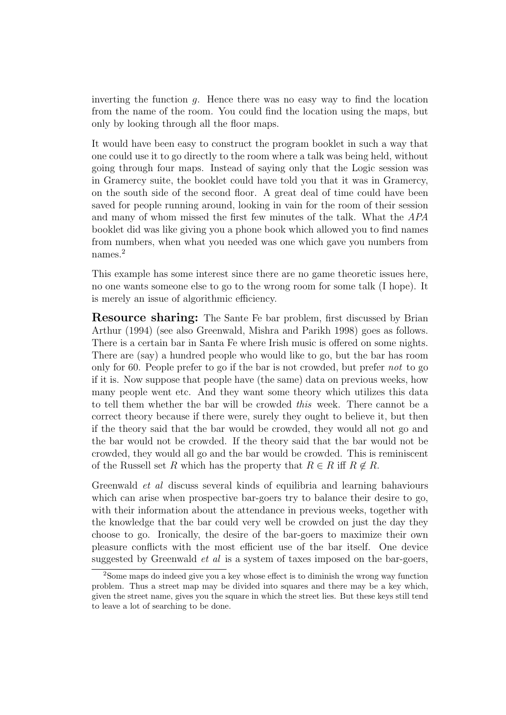inverting the function  $q$ . Hence there was no easy way to find the location from the name of the room. You could find the location using the maps, but only by looking through all the floor maps.

It would have been easy to construct the program booklet in such a way that one could use it to go directly to the room where a talk was being held, without going through four maps. Instead of saying only that the Logic session was in Gramercy suite, the booklet could have told you that it was in Gramercy, on the south side of the second floor. A great deal of time could have been saved for people running around, looking in vain for the room of their session and many of whom missed the first few minutes of the talk. What the APA booklet did was like giving you a phone book which allowed you to find names from numbers, when what you needed was one which gave you numbers from names.<sup>2</sup>

This example has some interest since there are no game theoretic issues here, no one wants someone else to go to the wrong room for some talk (I hope). It is merely an issue of algorithmic efficiency.

**Resource sharing:** The Sante Fe bar problem, first discussed by Brian Arthur (1994) (see also Greenwald, Mishra and Parikh 1998) goes as follows. There is a certain bar in Santa Fe where Irish music is offered on some nights. There are (say) a hundred people who would like to go, but the bar has room only for 60. People prefer to go if the bar is not crowded, but prefer not to go if it is. Now suppose that people have (the same) data on previous weeks, how many people went etc. And they want some theory which utilizes this data to tell them whether the bar will be crowded this week. There cannot be a correct theory because if there were, surely they ought to believe it, but then if the theory said that the bar would be crowded, they would all not go and the bar would not be crowded. If the theory said that the bar would not be crowded, they would all go and the bar would be crowded. This is reminiscent of the Russell set R which has the property that  $R \in R$  iff  $R \notin R$ .

Greenwald et al discuss several kinds of equilibria and learning bahaviours which can arise when prospective bar-goers try to balance their desire to go, with their information about the attendance in previous weeks, together with the knowledge that the bar could very well be crowded on just the day they choose to go. Ironically, the desire of the bar-goers to maximize their own pleasure conflicts with the most efficient use of the bar itself. One device suggested by Greenwald et al is a system of taxes imposed on the bar-goers,

<sup>2</sup>Some maps do indeed give you a key whose effect is to diminish the wrong way function problem. Thus a street map may be divided into squares and there may be a key which, given the street name, gives you the square in which the street lies. But these keys still tend to leave a lot of searching to be done.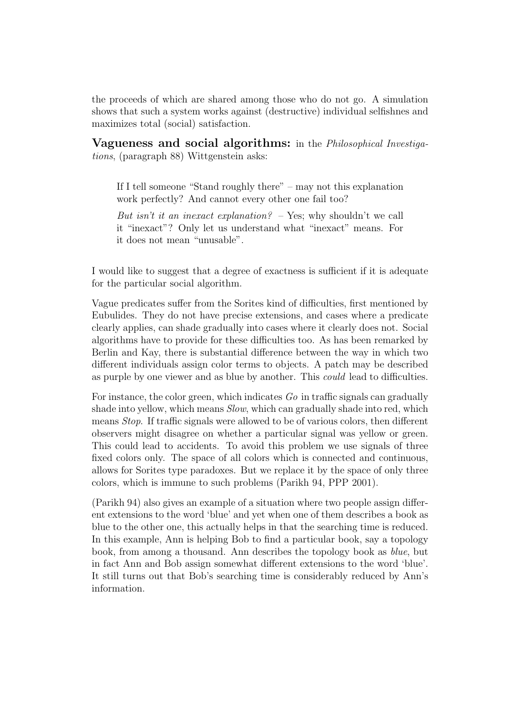the proceeds of which are shared among those who do not go. A simulation shows that such a system works against (destructive) individual selfishnes and maximizes total (social) satisfaction.

Vagueness and social algorithms: in the Philosophical Investigations, (paragraph 88) Wittgenstein asks:

If I tell someone "Stand roughly there" – may not this explanation work perfectly? And cannot every other one fail too?

But isn't it an inexact explanation?  $-$  Yes; why shouldn't we call it "inexact"? Only let us understand what "inexact" means. For it does not mean "unusable".

I would like to suggest that a degree of exactness is sufficient if it is adequate for the particular social algorithm.

Vague predicates suffer from the Sorites kind of difficulties, first mentioned by Eubulides. They do not have precise extensions, and cases where a predicate clearly applies, can shade gradually into cases where it clearly does not. Social algorithms have to provide for these difficulties too. As has been remarked by Berlin and Kay, there is substantial difference between the way in which two different individuals assign color terms to objects. A patch may be described as purple by one viewer and as blue by another. This could lead to difficulties.

For instance, the color green, which indicates  $Go$  in traffic signals can gradually shade into yellow, which means Slow, which can gradually shade into red, which means Stop. If traffic signals were allowed to be of various colors, then different observers might disagree on whether a particular signal was yellow or green. This could lead to accidents. To avoid this problem we use signals of three fixed colors only. The space of all colors which is connected and continuous, allows for Sorites type paradoxes. But we replace it by the space of only three colors, which is immune to such problems (Parikh 94, PPP 2001).

(Parikh 94) also gives an example of a situation where two people assign different extensions to the word 'blue' and yet when one of them describes a book as blue to the other one, this actually helps in that the searching time is reduced. In this example, Ann is helping Bob to find a particular book, say a topology book, from among a thousand. Ann describes the topology book as blue, but in fact Ann and Bob assign somewhat different extensions to the word 'blue'. It still turns out that Bob's searching time is considerably reduced by Ann's information.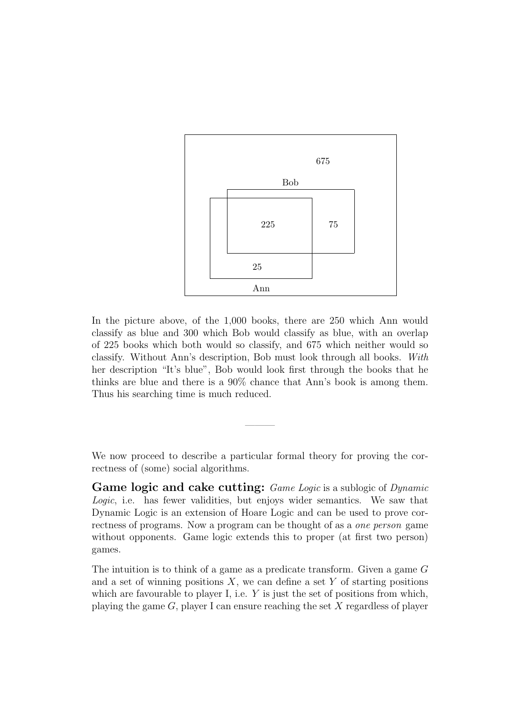

In the picture above, of the 1,000 books, there are 250 which Ann would classify as blue and 300 which Bob would classify as blue, with an overlap of 225 books which both would so classify, and 675 which neither would so classify. Without Ann's description, Bob must look through all books. With her description "It's blue", Bob would look first through the books that he thinks are blue and there is a 90% chance that Ann's book is among them. Thus his searching time is much reduced.

We now proceed to describe a particular formal theory for proving the correctness of (some) social algorithms.

———

Game logic and cake cutting: *Game Logic* is a sublogic of *Dynamic* Logic, i.e. has fewer validities, but enjoys wider semantics. We saw that Dynamic Logic is an extension of Hoare Logic and can be used to prove correctness of programs. Now a program can be thought of as a one person game without opponents. Game logic extends this to proper (at first two person) games.

The intuition is to think of a game as a predicate transform. Given a game G and a set of winning positions  $X$ , we can define a set Y of starting positions which are favourable to player I, i.e.  $Y$  is just the set of positions from which, playing the game  $G$ , player I can ensure reaching the set X regardless of player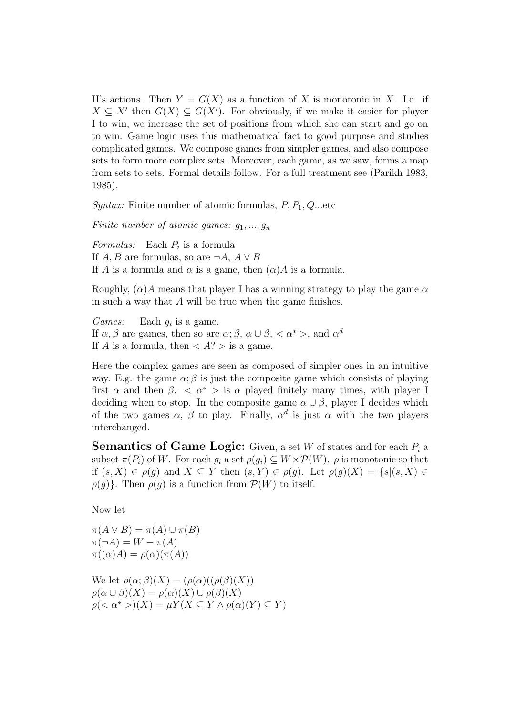II's actions. Then  $Y = G(X)$  as a function of X is monotonic in X. I.e. if  $X \subseteq X'$  then  $G(X) \subseteq G(X')$ . For obviously, if we make it easier for player I to win, we increase the set of positions from which she can start and go on to win. Game logic uses this mathematical fact to good purpose and studies complicated games. We compose games from simpler games, and also compose sets to form more complex sets. Moreover, each game, as we saw, forms a map from sets to sets. Formal details follow. For a full treatment see (Parikh 1983, 1985).

*Syntax:* Finite number of atomic formulas,  $P, P_1, Q$ ...etc.

Finite number of atomic games:  $g_1, ..., g_n$ 

Formulas: Each  $P_i$  is a formula If  $A, B$  are formulas, so are  $\neg A, A \lor B$ If A is a formula and  $\alpha$  is a game, then  $(\alpha)A$  is a formula.

Roughly,  $(\alpha)A$  means that player I has a winning strategy to play the game  $\alpha$ in such a way that A will be true when the game finishes.

*Games:* Each  $g_i$  is a game. If  $\alpha, \beta$  are games, then so are  $\alpha; \beta, \alpha \cup \beta, \langle \alpha^* \rangle$ , and  $\alpha^d$ If A is a formula, then  $\langle A \rangle$  is a game.

Here the complex games are seen as composed of simpler ones in an intuitive way. E.g. the game  $\alpha$ ;  $\beta$  is just the composite game which consists of playing first  $\alpha$  and then  $\beta$ .  $\langle \alpha^* \rangle$  is  $\alpha$  played finitely many times, with player I deciding when to stop. In the composite game  $\alpha \cup \beta$ , player I decides which of the two games  $\alpha$ ,  $\beta$  to play. Finally,  $\alpha^d$  is just  $\alpha$  with the two players interchanged.

**Semantics of Game Logic:** Given, a set W of states and for each  $P_i$  a subset  $\pi(P_i)$  of W. For each  $g_i$  a set  $\rho(g_i) \subseteq W \times \mathcal{P}(W)$ .  $\rho$  is monotonic so that if  $(s, X) \in \rho(g)$  and  $X \subseteq Y$  then  $(s, Y) \in \rho(g)$ . Let  $\rho(g)(X) = \{s | (s, X) \in$  $\rho(g)$ . Then  $\rho(g)$  is a function from  $\mathcal{P}(W)$  to itself.

Now let

 $\pi(A \vee B) = \pi(A) \cup \pi(B)$  $\pi(\neg A) = W - \pi(A)$  $\pi((\alpha)A) = \rho(\alpha)(\pi(A))$ 

We let  $\rho(\alpha;\beta)(X) = (\rho(\alpha)((\rho(\beta)(X)))$  $\rho(\alpha \cup \beta)(X) = \rho(\alpha)(X) \cup \rho(\beta)(X)$  $\rho(\langle \alpha^* \rangle)(X) = \mu Y(X \subseteq Y \wedge \rho(\alpha)(Y) \subseteq Y)$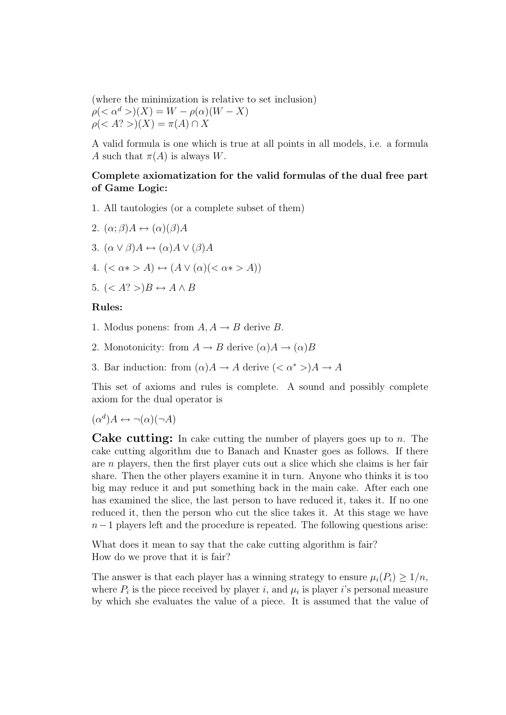(where the minimization is relative to set inclusion)  $\rho(<\alpha^d>)$ (X) = W –  $\rho(\alpha)(W-X)$  $\rho(\langle A? \rangle)(X) = \pi(A) \cap X$ 

A valid formula is one which is true at all points in all models, i.e. a formula A such that  $\pi(A)$  is always W.

### Complete axiomatization for the valid formulas of the dual free part of Game Logic:

- 1. All tautologies (or a complete subset of them)
- 2.  $(\alpha; \beta)A \leftrightarrow (\alpha)(\beta)A$
- 3.  $(\alpha \vee \beta)A \leftrightarrow (\alpha)A \vee (\beta)A$
- 4.  $(<\alpha*>A) \leftrightarrow (A \vee (\alpha) (<\alpha*>A))$
- 5.  $(*A*?>)B \leftrightarrow A \wedge B$

#### Rules:

- 1. Modus ponens: from  $A, A \rightarrow B$  derive B.
- 2. Monotonicity: from  $A \to B$  derive  $(\alpha)A \to (\alpha)B$
- 3. Bar induction: from  $(\alpha)A \to A$  derive  $( $\alpha^*$  >) $A \to A$$

This set of axioms and rules is complete. A sound and possibly complete axiom for the dual operator is

 $(\alpha^d)A \leftrightarrow \neg(\alpha)(\neg A)$ 

**Cake cutting:** In cake cutting the number of players goes up to  $n$ . The cake cutting algorithm due to Banach and Knaster goes as follows. If there are  $n$  players, then the first player cuts out a slice which she claims is her fair share. Then the other players examine it in turn. Anyone who thinks it is too big may reduce it and put something back in the main cake. After each one has examined the slice, the last person to have reduced it, takes it. If no one reduced it, then the person who cut the slice takes it. At this stage we have  $n-1$  players left and the procedure is repeated. The following questions arise:

What does it mean to say that the cake cutting algorithm is fair? How do we prove that it is fair?

The answer is that each player has a winning strategy to ensure  $\mu_i(P_i) \geq 1/n$ , where  $P_i$  is the piece received by player i, and  $\mu_i$  is player i's personal measure by which she evaluates the value of a piece. It is assumed that the value of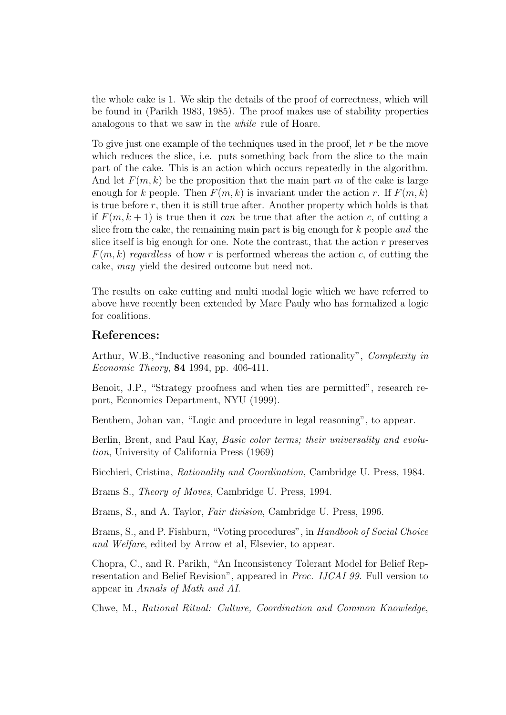the whole cake is 1. We skip the details of the proof of correctness, which will be found in (Parikh 1983, 1985). The proof makes use of stability properties analogous to that we saw in the while rule of Hoare.

To give just one example of the techniques used in the proof, let  $r$  be the move which reduces the slice, i.e. puts something back from the slice to the main part of the cake. This is an action which occurs repeatedly in the algorithm. And let  $F(m, k)$  be the proposition that the main part m of the cake is large enough for k people. Then  $F(m, k)$  is invariant under the action r. If  $F(m, k)$ is true before  $r$ , then it is still true after. Another property which holds is that if  $F(m, k+1)$  is true then it can be true that after the action c, of cutting a slice from the cake, the remaining main part is big enough for  $k$  people and the slice itself is big enough for one. Note the contrast, that the action r preserves  $F(m, k)$  regardless of how r is performed whereas the action c, of cutting the cake, may yield the desired outcome but need not.

The results on cake cutting and multi modal logic which we have referred to above have recently been extended by Marc Pauly who has formalized a logic for coalitions.

### References:

Arthur, W.B., "Inductive reasoning and bounded rationality", Complexity in Economic Theory, 84 1994, pp. 406-411.

Benoit, J.P., "Strategy proofness and when ties are permitted", research report, Economics Department, NYU (1999).

Benthem, Johan van, "Logic and procedure in legal reasoning", to appear.

Berlin, Brent, and Paul Kay, Basic color terms; their universality and evolution, University of California Press (1969)

Bicchieri, Cristina, Rationality and Coordination, Cambridge U. Press, 1984.

Brams S., Theory of Moves, Cambridge U. Press, 1994.

Brams, S., and A. Taylor, Fair division, Cambridge U. Press, 1996.

Brams, S., and P. Fishburn, "Voting procedures", in Handbook of Social Choice and Welfare, edited by Arrow et al, Elsevier, to appear.

Chopra, C., and R. Parikh, "An Inconsistency Tolerant Model for Belief Representation and Belief Revision", appeared in Proc. IJCAI 99. Full version to appear in Annals of Math and AI.

Chwe, M., Rational Ritual: Culture, Coordination and Common Knowledge,